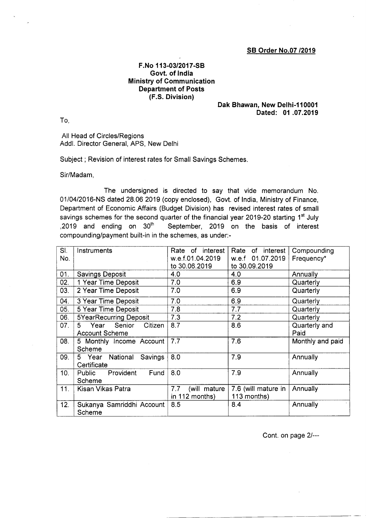## SB Order No.07 /2019

## F.No 113-03/2017-SB Govt. of lndia Ministry of Communication Department of Posts (F.S. Division)

## Dak Bhawan, New Delhi-110001 Dated: 01 .07.2019

To,

All Head of Circles/Regions Addl. Director General, APS, New Delhi

Subject ; Revision of interest rates for Small Savings Schemes

Sir/Madam,

The undersigned is directed to say that vide memorandum No. 0110412016-NS dated 28.06 2019 (copy enclosed), Govt. of lndia, Ministry of Finance, Department of Economic Affairs (Budget Division) has revised interest rates of small savings schemes for the second quarter of the financial year 2019-20 starting 1<sup>st</sup> July ,2019 and ending on  $30<sup>th</sup>$  September, 2019 on the basis of interest compounding/payment built-in in the schemes, as under:-

| SI.<br>No. | Instruments                                              | of interest<br>Rate<br>w.e.f.01.04.2019<br>to 30.06.2019 | Rate<br>of interest<br>w.e.f 01.07.2019<br>to 30.09.2019 | Compounding<br>Frequency* |
|------------|----------------------------------------------------------|----------------------------------------------------------|----------------------------------------------------------|---------------------------|
| 01.        | <b>Savings Deposit</b>                                   | 4.0                                                      | 4.0                                                      | Annually                  |
| 02.        | 1 Year Time Deposit                                      | 7.0                                                      | 6.9                                                      | Quarterly                 |
| 03.        | 2 Year Time Deposit                                      | 7.0                                                      | 6.9                                                      | Quarterly                 |
| 04.        | 3 Year Time Deposit                                      | 7.0                                                      | 6.9                                                      | Quarterly                 |
| 05.        | 5 Year Time Deposit                                      | 7.8                                                      | 7.7                                                      | Quarterly                 |
| 06.        | <b>5YearRecurring Deposit</b>                            | 7.3                                                      | 7.2                                                      | Quarterly                 |
| 07.        | Senior<br>Citizen<br>5.<br>Year<br><b>Account Scheme</b> | 8.7                                                      | 8.6                                                      | Quarterly and<br>Paid     |
| 08.        | 5 Monthly Income Account<br>Scheme                       | 7.7                                                      | 7.6                                                      | Monthly and paid          |
| 09.        | National<br>Savings<br>5 Year<br>Certificate             | 8.0                                                      | 7.9                                                      | Annually                  |
| 10.        | Provident<br>Fund<br>Public<br>Scheme                    | 8.0                                                      | 7.9                                                      | Annually                  |
| 11.        | Kisan Vikas Patra                                        | 7.7<br>(will mature<br>in 112 months)                    | 7.6 (will mature in<br>113 months)                       | Annually                  |
| 12.        | Sukanya Samriddhi Account<br>Scheme                      | 8.5                                                      | 8.4                                                      | Annually                  |

Cont. on page 2l--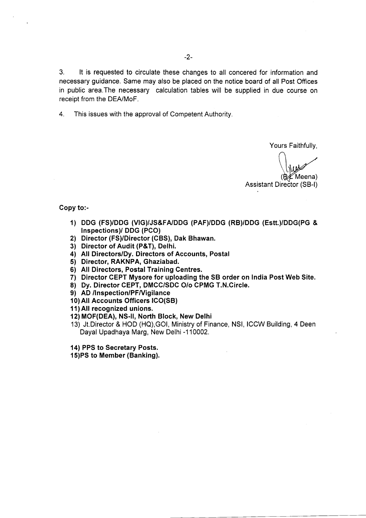3. lt is requested to circulate these changes to all concered for information and necessary guidance. Same may also be placed on the notice board of all Post Offices in public area.The necessary calculation tables will be supplied in due course on receipt from the DEA/MoF.

4. This issues with the approval of Competent Authority

Yours Faithfully,

n<br>N \<br>(@ Meena) Assistant Director (SB-l)

Copy to:-

- 1) DDG (FS)/DDG (VIG)/JS&FA/DDG (PAF)/DDG (RB)/DDG (Estt.)/DDG(PG & !nspections)/ DDG (PCO)
- 2) Director (FS)/Director (CBS), Dak Bhawan.
- 3) Director of Audit (P&T), Delhi.
- 4) All Directors/Dy. Directors of Accounts, Postal
- 5) Director, RAKNPA, Ghaziabad.
- 6) All Directors, Postal Training Centres.
- 7) Director CEPT Mysore for uploading the SB order on India Post Web Site.
- 8) Dy. Director CEPT, DMCC/SDC O/o CPMG T.N.Circle.
- 9) AD /Inspection/PF/Vigilance
- 10)All Accounts Officers ICO(SB)

11) All recognized unions.

- 12)MOF(DEA), NS-ll, North Block, New Delhi
- 13) Jt.Director & HOD (HQ),GO|, Ministry of Finance, NSl, ICCW Building, 4 Deen Dayal Upadhaya Marg, New Delhi -110002.
- 14) PPS to Secretary Posts.
- 1s)PS to Member (Banking).